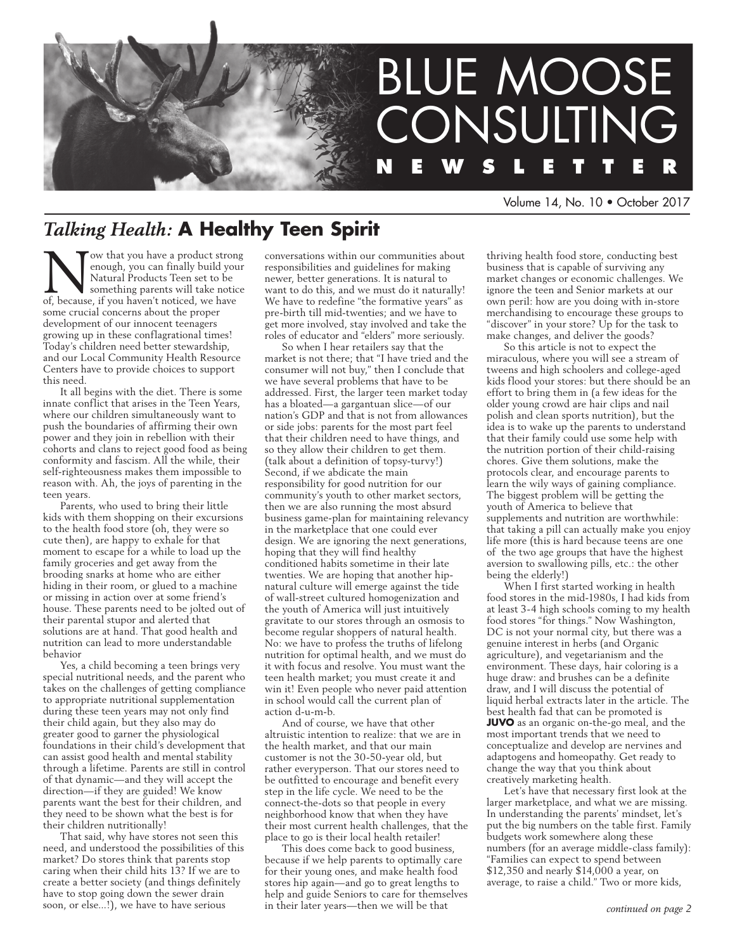

Volume 14, No. 10 • October 2017

# *Talking Health:* **A Healthy Teen Spirit**

Now that you have a product strong<br>enough, you can finally build your<br>Natural Products Teen set to be<br>of because. if you haven't noticed, we have enough, you can finally build your Natural Products Teen set to be something parents will take notice of, because, if you haven't noticed, we have some crucial concerns about the proper development of our innocent teenagers growing up in these conflagrational times! Today's children need better stewardship, and our Local Community Health Resource Centers have to provide choices to support this need.

It all begins with the diet. There is some innate conflict that arises in the Teen Years, where our children simultaneously want to push the boundaries of affirming their own power and they join in rebellion with their cohorts and clans to reject good food as being conformity and fascism. All the while, their self-righteousness makes them impossible to reason with. Ah, the joys of parenting in the teen years.

Parents, who used to bring their little kids with them shopping on their excursions to the health food store (oh, they were so cute then), are happy to exhale for that moment to escape for a while to load up the family groceries and get away from the brooding snarks at home who are either hiding in their room, or glued to a machine or missing in action over at some friend's house. These parents need to be jolted out of their parental stupor and alerted that solutions are at hand. That good health and nutrition can lead to more understandable behavior

Yes, a child becoming a teen brings very special nutritional needs, and the parent who takes on the challenges of getting compliance to appropriate nutritional supplementation during these teen years may not only find their child again, but they also may do greater good to garner the physiological foundations in their child's development that can assist good health and mental stability through a lifetime. Parents are still in control of that dynamic—and they will accept the direction—if they are guided! We know parents want the best for their children, and they need to be shown what the best is for their children nutritionally!

That said, why have stores not seen this need, and understood the possibilities of this market? Do stores think that parents stop caring when their child hits 13? If we are to create a better society (and things definitely have to stop going down the sewer drain soon, or else...!), we have to have serious

conversations within our communities about responsibilities and guidelines for making newer, better generations. It is natural to want to do this, and we must do it naturally! We have to redefine "the formative years" as pre-birth till mid-twenties; and we have to get more involved, stay involved and take the roles of educator and "elders" more seriously.

So when I hear retailers say that the market is not there; that "I have tried and the consumer will not buy," then I conclude that we have several problems that have to be addressed. First, the larger teen market today has a bloated—a gargantuan slice—of our nation's GDP and that is not from allowances or side jobs: parents for the most part feel that their children need to have things, and so they allow their children to get them. (talk about a definition of topsy-turvy!) Second, if we abdicate the main responsibility for good nutrition for our community's youth to other market sectors, then we are also running the most absurd business game-plan for maintaining relevancy in the marketplace that one could ever design. We are ignoring the next generations, hoping that they will find healthy conditioned habits sometime in their late twenties. We are hoping that another hipnatural culture will emerge against the tide of wall-street cultured homogenization and the youth of America will just intuitively gravitate to our stores through an osmosis to become regular shoppers of natural health. No: we have to profess the truths of lifelong nutrition for optimal health, and we must do it with focus and resolve. You must want the teen health market; you must create it and win it! Even people who never paid attention in school would call the current plan of action d-u-m-b.

And of course, we have that other altruistic intention to realize: that we are in the health market, and that our main customer is not the 30-50-year old, but rather everyperson. That our stores need to be outfitted to encourage and benefit every step in the life cycle. We need to be the connect-the-dots so that people in every neighborhood know that when they have their most current health challenges, that the place to go is their local health retailer!

This does come back to good business, because if we help parents to optimally care for their young ones, and make health food stores hip again—and go to great lengths to help and guide Seniors to care for themselves in their later years—then we will be that

thriving health food store, conducting best business that is capable of surviving any market changes or economic challenges. We ignore the teen and Senior markets at our own peril: how are you doing with in-store merchandising to encourage these groups to "discover" in your store? Up for the task to make changes, and deliver the goods?

So this article is not to expect the miraculous, where you will see a stream of tweens and high schoolers and college-aged kids flood your stores: but there should be an effort to bring them in (a few ideas for the older young crowd are hair clips and nail polish and clean sports nutrition), but the idea is to wake up the parents to understand that their family could use some help with the nutrition portion of their child-raising chores. Give them solutions, make the protocols clear, and encourage parents to learn the wily ways of gaining compliance. The biggest problem will be getting the youth of America to believe that supplements and nutrition are worthwhile: that taking a pill can actually make you enjoy life more (this is hard because teens are one of the two age groups that have the highest aversion to swallowing pills, etc.: the other being the elderly!)

When I first started working in health food stores in the mid-1980s, I had kids from at least 3-4 high schools coming to my health food stores "for things." Now Washington, DC is not your normal city, but there was a genuine interest in herbs (and Organic agriculture), and vegetarianism and the environment. These days, hair coloring is a huge draw: and brushes can be a definite draw, and I will discuss the potential of liquid herbal extracts later in the article. The best health fad that can be promoted is **JUVO** as an organic on-the-go meal, and the most important trends that we need to conceptualize and develop are nervines and adaptogens and homeopathy. Get ready to change the way that you think about creatively marketing health.

Let's have that necessary first look at the larger marketplace, and what we are missing. In understanding the parents' mindset, let's put the big numbers on the table first. Family budgets work somewhere along these numbers (for an average middle-class family): "Families can expect to spend between \$12,350 and nearly \$14,000 a year, on average, to raise a child." Two or more kids,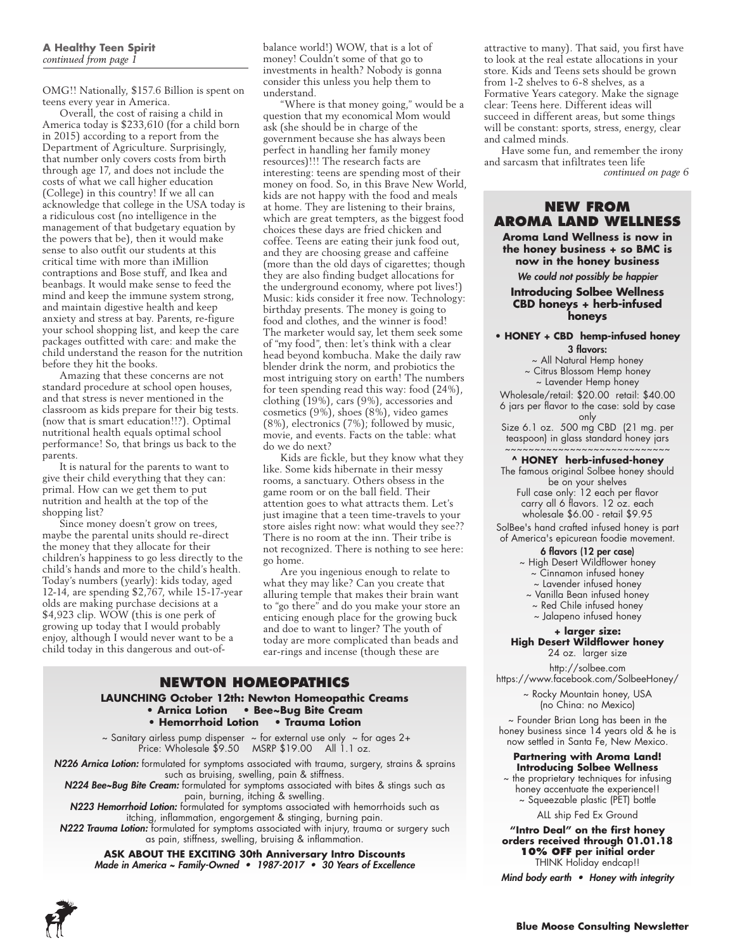OMG!! Nationally, \$157.6 Billion is spent on teens every year in America.

Overall, the cost of raising a child in America today is \$233,610 (for a child born in 2015) according to a report from the Department of Agriculture. Surprisingly, that number only covers costs from birth through age 17, and does not include the costs of what we call higher education (College) in this country! If we all can acknowledge that college in the USA today is a ridiculous cost (no intelligence in the management of that budgetary equation by the powers that be), then it would make sense to also outfit our students at this critical time with more than iMillion contraptions and Bose stuff, and Ikea and beanbags. It would make sense to feed the mind and keep the immune system strong, and maintain digestive health and keep anxiety and stress at bay. Parents, re-figure your school shopping list, and keep the care packages outfitted with care: and make the child understand the reason for the nutrition before they hit the books.

Amazing that these concerns are not standard procedure at school open houses, and that stress is never mentioned in the classroom as kids prepare for their big tests. (now that is smart education!!?). Optimal nutritional health equals optimal school performance! So, that brings us back to the parents.

It is natural for the parents to want to give their child everything that they can: primal. How can we get them to put nutrition and health at the top of the shopping list?

Since money doesn't grow on trees, maybe the parental units should re-direct the money that they allocate for their children's happiness to go less directly to the child's hands and more to the child's health. Today's numbers (yearly): kids today, aged 12-14, are spending \$2,767, while 15-17-year olds are making purchase decisions at a \$4,923 clip. WOW (this is one perk of growing up today that I would probably enjoy, although I would never want to be a child today in this dangerous and out-ofbalance world!) WOW, that is a lot of money! Couldn't some of that go to investments in health? Nobody is gonna consider this unless you help them to understand.

"Where is that money going," would be a question that my economical Mom would ask (she should be in charge of the government because she has always been perfect in handling her family money resources)!!! The research facts are interesting: teens are spending most of their money on food. So, in this Brave New World, kids are not happy with the food and meals at home. They are listening to their brains, which are great tempters, as the biggest food choices these days are fried chicken and coffee. Teens are eating their junk food out, and they are choosing grease and caffeine (more than the old days of cigarettes; though they are also finding budget allocations for the underground economy, where pot lives!) Music: kids consider it free now. Technology: birthday presents. The money is going to food and clothes, and the winner is food! The marketer would say, let them seek some of "my food", then: let's think with a clear head beyond kombucha. Make the daily raw blender drink the norm, and probiotics the most intriguing story on earth! The numbers for teen spending read this way: food (24%), clothing (19%), cars (9%), accessories and cosmetics (9%), shoes (8%), video games (8%), electronics (7%); followed by music, movie, and events. Facts on the table: what do we do next?

Kids are fickle, but they know what they like. Some kids hibernate in their messy rooms, a sanctuary. Others obsess in the game room or on the ball field. Their attention goes to what attracts them. Let's just imagine that a teen time-travels to your store aisles right now: what would they see?? There is no room at the inn. Their tribe is not recognized. There is nothing to see here: go home.

Are you ingenious enough to relate to what they may like? Can you create that alluring temple that makes their brain want to "go there" and do you make your store an enticing enough place for the growing buck and doe to want to linger? The youth of today are more complicated than beads and ear-rings and incense (though these are

# **Newton Homeopathics**

**LAUNCHING October 12th: Newton Homeopathic Creams • Arnica Lotion • Bee~Bug Bite Cream • Hemorrhoid Lotion • Trauma Lotion** 

 $\sim$  Sanitary airless pump dispenser  $\sim$  for external use only  $\sim$  for ages 2+ Price: Wholesale \$9.50 MSRP \$19.00 All 1.1 oz.

*N226 Arnica Lotion:* formulated for symptoms associated with trauma, surgery, strains & sprains such as bruising, swelling, pain & stiffness.

N224 Bee~Bug Bite Cream: formulated for symptoms associated with bites & stings such as pain, burning, itching & swelling.

N223 Hemorrhoid Lotion: formulated for symptoms associated with hemorrhoids such as itching, inflammation, engorgement & stinging, burning pain.

**N222 Trauma Lotion:** formulated for symptoms associated with injury, trauma or surgery such as pain, stiffness, swelling, bruising & inflammation.

**ASK ABOUT THE EXCITING 30th Anniversary Intro Discounts** Made in America ~ Family-Owned • 1987-2017 • 30 Years of Excellence attractive to many). That said, you first have to look at the real estate allocations in your store. Kids and Teens sets should be grown from 1-2 shelves to 6-8 shelves, as a Formative Years category. Make the signage clear: Teens here. Different ideas will succeed in different areas, but some things will be constant: sports, stress, energy, clear and calmed minds.

Have some fun, and remember the irony and sarcasm that infiltrates teen life *continued on page 6*

#### **NEW from Aroma Land Wellness**

**Aroma Land Wellness is now in the honey business + so BMC is now in the honey business**

*We could not possibly be happier*

#### **Introducing Solbee Wellness CBD honeys + herb-infused honeys**

#### **• HONEY + CBD hemp-infused honey**

3 flavors:

~ All Natural Hemp honey

~ Citrus Blossom Hemp honey

~ Lavender Hemp honey

Wholesale/retail: \$20.00 retail: \$40.00 6 jars per flavor to the case: sold by case only

Size 6.1 oz. 500 mg CBD (21 mg. per teaspoon) in glass standard honey jars

#### ~~~~~~~~~~~~~~~~~~~~~~~~~~ **^ HONEY herb-infused-honey**

The famous original Solbee honey should be on your shelves Full case only: 12 each per flavor carry all 6 flavors. 12 oz. each wholesale \$6.00 - retail \$9.95

SolBee's hand crafted infused honey is part of America's epicurean foodie movement.

#### 6 flavors (12 per case)

~ High Desert Wildflower honey

~ Cinnamon infused honey

~ Lavender infused honey

~ Vanilla Bean infused honey

~ Red Chile infused honey

~ Jalapeno infused honey

#### **+ larger size: High Desert Wildflower honey**  24 oz. larger size

http://solbee.com https://www.facebook.com/SolbeeHoney/

> ~ Rocky Mountain honey, USA (no China: no Mexico)

~ Founder Brian Long has been in the honey business since  $14$  years old & he is now settled in Santa Fe, New Mexico.

#### **Partnering with Aroma Land! Introducing Solbee Wellness**

the proprietary techniques for infusing honey accentuate the experience!! ~ Squeezable plastic (PET) bottle

ALL ship Fed Ex Ground

**"Intro Deal" on the first honey orders received through 01.01.18 10% OFF per initial order** THINK Holiday endcap!!

Mind body earth • Honey with integrity

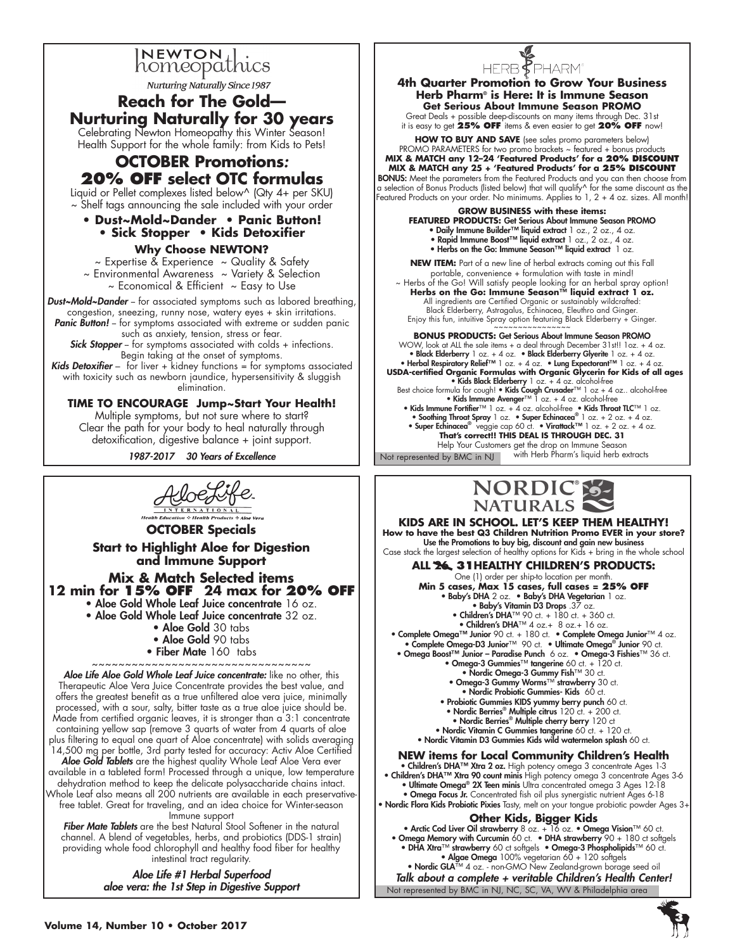

Ϊ

**Nurturing Naturally Since 1987** 

# **Reach for The Gold— Nurturing Naturally for 30 years**

Celebrating Newton Homeopathy this Winter Season! Health Support for the whole family: from Kids to Pets!

## **OCTOBER Promotions***:*  **20% OFF select OTC formulas**

Liquid or Pellet complexes listed below^ (Qty 4+ per SKU) ~ Shelf tags announcing the sale included with your order

### **• Dust~Mold~Dander • Panic Button! • Sick Stopper • Kids Detoxifier**

**Why Choose NEWTON?**

 $\sim$  Expertise & Experience  $\sim$  Quality & Safety

~ Environmental Awareness ~ Variety & Selection  $\sim$  Economical & Efficient  $\sim$  Easy to Use

**Dust~Mold~Dander** -- for associated symptoms such as labored breathing, congestion, sneezing, runny nose, watery eyes + skin irritations. Panic Button! - for symptoms associated with extreme or sudden panic such as anxiety, tension, stress or fear.

**Sick Stopper** –- for symptoms associated with colds + infections. Begin taking at the onset of symptoms.

**Kids Detoxifier** – for liver  $+$  kidney functions = for symptoms associated with toxicity such as newborn jaundice, hypersensitivity & sluggish elimination.

**TIME TO ENCOURAGE Jump~Start Your Health!** Multiple symptoms, but not sure where to start? Clear the path for your body to heal naturally through detoxification, digestive balance + joint support.

1987-2017 30 Years of Excellence



**OCTOBER Specials Start to Highlight Aloe for Digestion and Immune Support Mix & Match Selected items 12 min for 15% off 24 max for 20% off** • Aloe Gold Whole Leaf Juice concentrate 16 oz. • Aloe Gold Whole Leaf Juice concentrate 32 oz. • Aloe Gold 30 tabs • Aloe Gold 90 tabs • Fiber Mate 160 tabs ~~~~~~~~~~~~~~~~~~~~~~~~~~~~~~~~~ Aloe Life Aloe Gold Whole Leaf Juice concentrate: like no other, this

Therapeutic Aloe Vera Juice Concentrate provides the best value, and offers the greatest benefit as a true unfiltered aloe vera juice, minimally processed, with a sour, salty, bitter taste as a true aloe juice should be. Made from certified organic leaves, it is stronger than a 3:1 concentrate containing yellow sap (remove 3 quarts of water from 4 quarts of aloe plus filtering to equal one quart of Aloe concentrate) with solids averaging 14,500 mg per bottle, 3rd party tested for accuracy: Activ Aloe Certified

Aloe Gold Tablets are the highest quality Whole Leaf Aloe Vera ever available in a tableted form! Processed through a unique, low temperature dehydration method to keep the delicate polysaccharide chains intact. Whole Leaf also means all 200 nutrients are available in each preservativefree tablet. Great for traveling, and an idea choice for Winter-season

Immune support

Fiber Mate Tablets are the best Natural Stool Softener in the natural channel. A blend of vegetables, herbs, and probiotics (DDS-1 strain) providing whole food chlorophyll and healthy food fiber for healthy intestinal tract regularity.

> Aloe Life #1 Herbal Superfood aloe vera: the 1st Step in Digestive Support



**4th Quarter Promotion to Grow Your Business Herb Pharm® is Here: It is Immune Season Get Serious About Immune Season PROMO**

Great Deals + possible deep-discounts on many items through Dec. 31st it is easy to get **25% OFF** items & even easier to get **20% OFF** now!

**HOW TO BUY AND SAVE** (see sales promo parameters below) PROMO PARAMETERS for two promo brackets ~ featured + bonus products **MIX & MATCH any 12–24 'Featured Products' for a 20% discount MIX & MATCH any 25 + 'Featured Products' for a 25% discount** BONUS: Meet the parameters from the Featured Products and you can then choose from a selection of Bonus Products (listed below) that will qualify^ for the same discount as the Featured Products on your order. No minimums. Applies to 1, 2 + 4 oz. sizes. All month!

**GROW BUSINESS with these items: FEATURED PRODUCTS:** Get Serious About Immune Season PROMO • Daily Immune Builder™ liquid extract 1 oz., 2 oz., 4 oz. • Rapid Immune Boost™ liquid extract 1 oz., 2 oz., 4 oz. • Herbs on the Go: Immune Season™ liquid extract 1 oz.

**NEW ITEM:** Part of a new line of herbal extracts coming out this Fall portable, convenience + formulation with taste in mind! ~ Herbs of the Go! Will satisfy people looking for an herbal spray option! **Herbs on the Go: Immune Season™ liquid extract 1 oz.**

All ingredients are Certified Organic or sustainably wildcrafted: Black Elderberry, Astragalus, Echinacea, Eleuthro and Ginger. Enjoy this fun, intuitive Spray option featuring Black Elderberry  $+$  Ginger.

**BONUS PRODUCTS:** Get Serious About Immune Season PROMO WOW, look at ALL the sale items + a deal through December 31st!! 1oz. + 4 oz. • Black Elderberry 1 oz. + 4 oz. • Black Elderberry Glyerite 1 oz. + 4 oz.<br>• Herbal Respiratory Relief™ 1 oz. + 4 oz. • Lung Expectorant™ 1 oz. + 4 oz.<br>• USDA-certified Organic Formulas with Organic Glycerin for Kids of a **× Kids Black Elderberry** 1 oz. + 4 oz. alcohol-free •<br>Best choice formula for cough! • **Kids Cough Crusader**™ 1 oz + 4 oz. alcohol-free<br>• **Kids Immune Avenger**™ 1 oz. + 4 oz. alcohol-free • • Kids Immune Fortifier™ 1 oz. + 4 oz. alcohol-free • Kids Throat TLC™ 1 oz.<br>• Soothing Throat Spray 1 oz. • Super Echinacea® 1 oz. + 2 oz. + 4 oz.<br>• Super Echinacea® veggie cap 60 ct. • Virattack™ 1 oz. + 2 oz. + 4 oz.

**That's correct!! THIS DEAL IS THROUGH DEC. 31**  Help Your Customers get the drop on Immune Season

Not represented by BMC in NJ with Herb Pharm's liquid herb extracts



**KIDS are in School. Let's keep them Healthy! How to have the best Q3 Children Nutrition Promo EVER in your store?** Use the Promotions to buy big, discount and gain new business Case stack the largest selection of healthy options for Kids + bring in the whole school

**ALL 26 31healthy Children's products:**  One (1) order per ship-to location per month.

**Min 5 cases, Max 15 cases, full cases = 25% O<br>• Baby's DHA 2 oz. • Baby's DHA Vegetarian 1 oz.** 

• Baby's Vitamin D3 Drops .37 oz. • Children's DHA™ 90 ct. + 180 ct. + 360 ct.

• Children's DHA™ 4 oz.+ 8 oz.+ 16 oz.

• Complete Omega™ Junior 90 ct. + 180 ct. • Complete Omega Junior™ 4 oz.<br>• Complete Omega-D3 Junior™ 90 ct. • Ultimate Omega® Junior 90 ct.<br>• Omega Boost™ Junior – Paradise Punch 6 oz. • Omega-3 Fishies™ 36 ct.

• Omega-3 Gummies™ tangerine 60 ct. + 120 ct.

- Nordic Omega-3 Gummy Fish™ 30 ct.
- Omega-3 Gummy Worms™ strawberry 30 ct.
- Nordic Probiotic Gummies- Kids 60 ct.
- Probiotic Gummies KIDS yummy berry punch 60 ct. Nordic Berries® Multiple citrus 120 ct. + 200 ct.
	- Nordic Berries® Multiple cherry berry 120 ct
- Nordic Vitamin C Gummies tangerine 60 ct. + 120 ct.
- Nordic Vitamin D3 Gummies Kids wild watermelon splash 60 ct.

#### **NEW items for Local Community Children's Health**

• Children's DHA™ Xtra 2 oz. High potency omega 3 concentrate Ages 1-3 • Children's DHA™ Xtra 90 count minis High potency omega 3 concentrate Ages 3-6 • Ultimate Omega® 2X Teen minis Ultra concentrated omega 3 Ages 12-18

• Omega Focus Jr. Concentrated fish oil plus synergistic nutrient Ages 6-18 • Nordic Flora Kids Probiotic Pixies Tasty, melt on your tongue probiotic powder Ages 3+

#### **Other Kids, Bigger Kids**

• Arctic Cod Liver Oil strawberry 8 oz. + 16 oz. • Omega Vision™ 60 ct. • Omega Memory with Curcumin 60 ct. • DHA strawberry 90 + 180 ct softgels • DHA Xtra™ strawberry 60 ct softgels • Omega-3 Phospholipids™ 60 ct. • Algae Omega 100% vegetarian 60 + 120 softgels • Nordic GLA™ 4 oz. - non-GMO New Zealand-grown borage seed oil

Not represented by BMC in NJ, NC, SC, VA, WV & Philadelphia area Talk about a complete + veritable Children's Health Center!

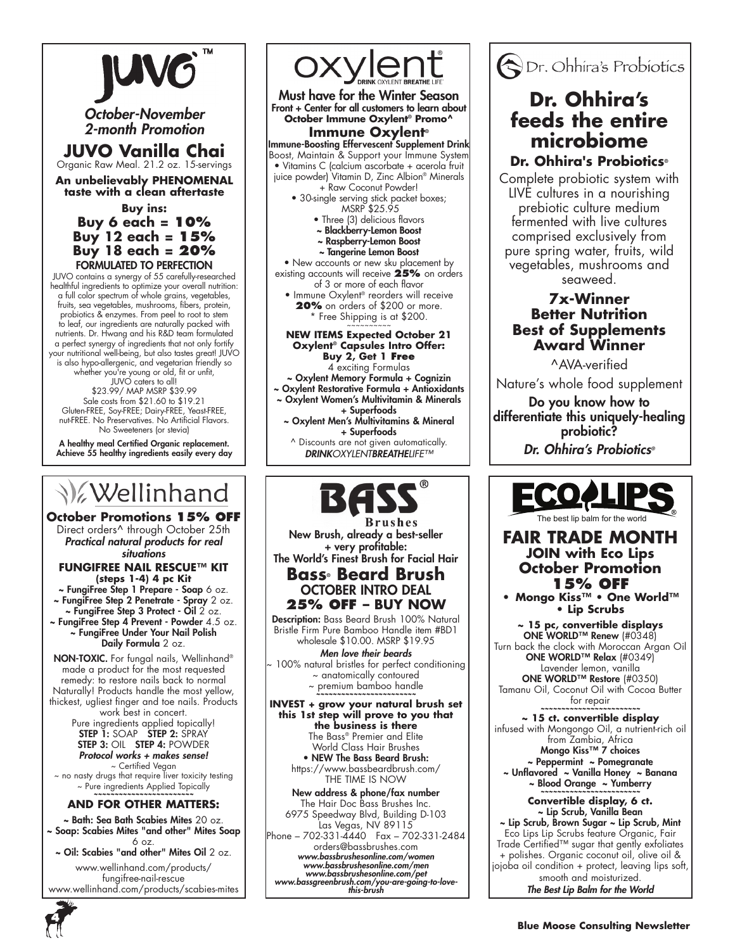

October-November 2-month Promotion

# **JUVO Vanilla Chai**  Organic Raw Meal. 21.2 oz. 15-servings

**An unbelievably PHENOMENAL taste with a clean aftertaste**

**Buy ins: Buy 6 each = 10% Buy 12 each = 15% Buy 18 each = 20%** Formulated to Perfection

JUVO contains a synergy of 55 carefully-researched healthful ingredients to optimize your overall nutrition: a full color spectrum of whole grains, vegetables, fruits, sea vegetables, mushrooms, fibers, protein, probiotics & enzymes. From peel to root to stem to leaf, our ingredients are naturally packed with nutrients. Dr. Hwang and his R&D team formulated a perfect synergy of ingredients that not only fortify your nutritional well-being, but also tastes great! JUVO is also hypo-allergenic, and vegetarian friendly so whether you're young or old, fit or unfit, JUVO caters to all! \$23.99/ MAP MSRP \$39.99 Sale costs from \$21.60 to \$19.21 Gluten-FREE, Soy-FREE; Dairy-FREE, Yeast-FREE, nut-FREE. No Preservatives. No Artificial Flavors.

No Sweeteners (or stevia) A healthy meal Certified Organic replacement. Achieve 55 healthy ingredients easily every day

# **V**ellinhand

**October Promotions 15% OFF** Direct orders^ through October 25th Practical natural products for real *situations*

**FungiFree Nail Rescue™ Kit (steps 1-4) 4 pc Kit** 

~ FungiFree Step 1 Prepare - Soap 6 oz. ~ FungiFree Step 2 Penetrate - Spray 2 oz.  $\sim$  FungiFree Step 3 Protect - Oil  $2$  oz. ~ FungiFree Step 4 Prevent - Powder 4.5 oz. ~ FungiFree Under Your Nail Polish Daily Formula 2 oz.

NON-TOXIC. For fungal nails, Wellinhand® made a product for the most requested remedy: to restore nails back to normal Naturally! Products handle the most yellow, thickest, ugliest finger and toe nails. Products work best in concert.

Pure ingredients applied topically! STEP 1: SOAP STEP 2: SPRAY STEP 3: OIL STEP 4: POWDER Protocol works + makes sense! ~ Certified Vegan

~ no nasty drugs that require liver toxicity testing ~ Pure ingredients Applied Topically *~~~~~~~~~~~~~~~~~~~~~~~~* 

#### **And For Other Matters:**

~ Bath: Sea Bath Scabies Mites 20 oz. ~ Soap: Scabies Mites "and other" Mites Soap 6 oz.

~ Oil: Scabies "and other" Mites Oil 2 oz.

www.wellinhand.com/products/ fungifree-nail-rescue www.wellinhand.com/products/scabies-mites



Must have for the Winter Season Front + Center for all customers to learn about **October Immune Oxylent® Promo^ Immune Oxylent®**

Immune-Boosting Effervescent Supplement Drink Boost, Maintain & Support your Immune System • Vitamins C (calcium ascorbate + acerola fruit juice powder) Vitamin D, Zinc Albion® Minerals

+ Raw Coconut Powder! • 30-single serving stick packet boxes;

- MSRP \$25.95 • Three (3) delicious flavors
- ~ Blackberry-Lemon Boost
- ~ Raspberry-Lemon Boost
- ~ Tangerine Lemon Boost

• New accounts or new sku placement by existing accounts will receive **25%** on orders of 3 or more of each flavor

• Immune Oxylent® reorders will receive **20%** on orders of \$200 or more. \* Free Shipping is at \$200. ~~~~~~~~~~

#### **NEW ITEMS Expected October 21 Oxylent® Capsules Intro Offer:**

**Buy 2, Get 1 Free** 4 exciting Formulas ~ Oxylent Memory Formula + Cognizin ~ Oxylent Restorative Formula + Antioxidants ~ Oxylent Women's Multivitamin & Minerals + Superfoods ~ Oxylent Men's Multivitamins & Mineral + Superfoods ^ Discounts are not given automatically. *DRINKOXYLENT*BREATHE*LIFE™*



**Brushes** New Brush, already a best-seller + very profitable: The World's Finest Brush for Facial Hair

**Bass® Beard Brush** October INTRO DEAL **25% OFF – BUY NOW**

Description: Bass Beard Brush 100% Natural Bristle Firm Pure Bamboo Handle item #BD1 wholesale \$10.00. MSRP \$19.95

*Men love their beards* ~ 100% natural bristles for perfect conditioning ~ anatomically contoured ~ premium bamboo handle *~~~~~~~~~~~~~~~~~~~~~~~~* 

**INVEST + grow your natural brush set this 1st step will prove to you that the business is there** The Bass® Premier and Elite World Class Hair Brushes • NEW The Bass Beard Brush: https://www.bassbeardbrush.com/ THE TIME IS NOW

New address & phone/fax number The Hair Doc Bass Brushes Inc. 6975 Speedway Blvd, Building D-103 Las Vegas, NV 89115 Phone – 702-331-4440 Fax – 702-331-2484 orders@bassbrushes.com www.bassbrushesonline.com/women www.bassbrushesonline.com/men www.bassbrushesonline.com/pet www.bassgreenbrush.com/you-are-going-to-love- this-brush

Dr. Ohhira's Probiotics

# **Dr. Ohhira's feeds the entire microbiome**

## **Dr. Ohhira's Probiotics®**

Complete probiotic system with LIVE cultures in a nourishing prebiotic culture medium fermented with live cultures comprised exclusively from pure spring water, fruits, wild vegetables, mushrooms and seaweed.

## **7x-Winner Better Nutrition Best of Supplements Award Winner**

^AVA-verified Nature's whole food supplement Do you know how to

differentiate this uniquely-healing probiotic?

Dr. Ohhira's Probiotics*®*



## **FAIR TRADE MONTH JOIN with Eco Lips October Promotion 15% OFF**

**• Mongo Kiss™ • One World™ • Lip Scrubs**

**~ 15 pc, convertible displays**  ONE WORLD™ Renew (#0348) Turn back the clock with Moroccan Argan Oil ONE WORLD™ Relax (#0349) Lavender lemon, vanilla ONE WORLD™ Restore (#0350)

Tamanu Oil, Coconut Oil with Cocoa Butter  $for$  repair

**~ 15 ct. convertible display** infused with Mongongo Oil, a nutrient-rich oil from Zambia, Africa Mongo Kiss™ 7 choices ~ Peppermint ~ Pomegranate ~ Unflavored ~ Vanilla Honey ~ Banana ~ Blood Orange ~ Yumberry *~~~~~~~~~~~~~~~~~~~~~~~~* 

> **Convertible display, 6 ct.** ~ Lip Scrub, Vanilla Bean

~ Lip Scrub, Brown Sugar ~ Lip Scrub, Mint Eco Lips Lip Scrubs feature Organic, Fair Trade Certified™ sugar that gently exfoliates + polishes. Organic coconut oil, olive oil & jojoba oil condition + protect, leaving lips soft, smooth and moisturized. The Best Lip Balm for the World

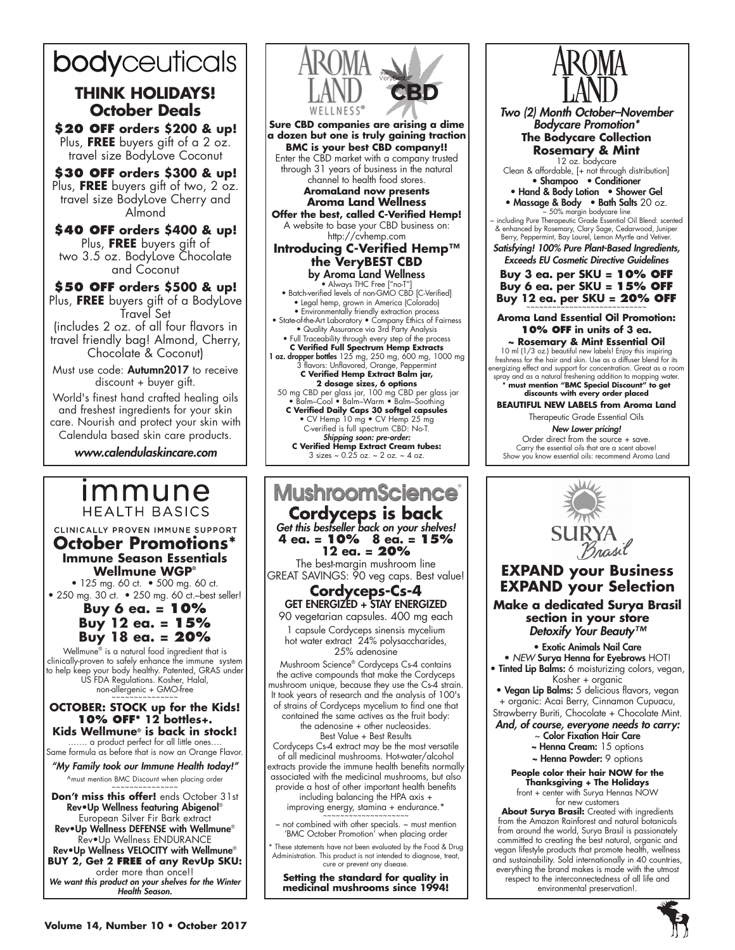# **bodyceuticals**

# **THINK HOLIDAYS! October Deals**

**\$20 OFF orders \$200 & up!** Plus, **FREE** buyers gift of a 2 oz. travel size BodyLove Coconut

**\$30 OFF orders \$300 & up!** Plus, **FREE** buyers gift of two, 2 oz. travel size BodyLove Cherry and Almond

**\$40 OFF orders \$400 & up!** Plus, **FREE** buyers gift of two 3.5 oz. BodyLove Chocolate and Coconut

#### **\$50 OFF orders \$500 & up!** Plus, **FREE** buyers gift of a BodyLove Travel Set

(includes 2 oz. of all four flavors in travel friendly bag! Almond, Cherry, Chocolate & Coconut)

Must use code: Autumn2017 to receive discount + buyer gift.

World's finest hand crafted healing oils and freshest ingredients for your skin care. Nourish and protect your skin with Calendula based skin care products.

www.calendulaskincare.com

# *Immune* **HEALTH BASICS**

CLINICALLY PROVEN IMMUNE SUPPORT

**October Promotions\* Immune Season Essentials Wellmune WGP®**

• 125 mg. 60 ct. • 500 mg. 60 ct. • 250 mg. 30 ct. • 250 mg. 60 ct.–best seller!

### **Buy 6 ea. = 10% Buy 12 ea. = 15% Buy 18 ea. = 20%**

Wellmune<sup>®</sup> is a natural food ingredient that is clinically-proven to safely enhance the immune system to help keep your body healthy. Patented, GRAS under US FDA Regulations. Kosher, Halal, non-allergenic + GMO-free

#### **OCTOBER: STOCK up for the Kids! 10% OFF\* 12 bottles+. Kids Wellmune® is back in stock!**

……. a product perfect for all little ones…. Same formula as before that is now an Orange Flavor.

"My Family took our Immune Health today!" ^must mention BMC Discount when placing order

**Don't miss this offer!** ends October 31st Rev•Up Wellness featuring Abigenol® European Silver Fir Bark extract

Rev•Up Wellness DEFENSE with Wellmune® Rev•Up Wellness ENDURANCE Rev•Up Wellness VELOCITY with Wellmune® **BUY 2, Get 2 free of any RevUp SKU:** 

order more than once!! We want this product on your shelves for the Winter

Health Season.



# **MushroomScience**

**Cordyceps is back** Get this bestseller back on your shelves! **4 ea. = 10% 8 ea. = 15% 12 ea. = 20%**

The best-margin mushroom line GREAT SAVINGS: 90 veg caps. Best value!

#### **Cordyceps-Cs-4** GET ENERGIZED + STAY ENERGIZED

90 vegetarian capsules. 400 mg each 1 capsule Cordyceps sinensis mycelium hot water extract 24% polysaccharides, 25% adenosine

Mushroom Science® Cordyceps Cs-4 contains the active compounds that make the Cordyceps mushroom unique, because they use the Cs-4 strain. It took years of research and the analysis of 100's of strains of Cordyceps mycelium to find one that

contained the same actives as the fruit body: the adenosine + other nucleosides. Best Value + Best Results

Cordyceps Cs-4 extract may be the most versatile of all medicinal mushrooms. Hot-water/alcohol extracts provide the immune health benefits normally associated with the medicinal mushrooms, but also provide a host of other important health benefits

including balancing the HPA axis + improving energy, stamina + endurance.\*

 $\sim$  not combined with other specials.  $\sim$  must mention 'BMC October Promotion' when placing order

\* These statements have not been evaluated by the Food & Drug Administration. This product is not intended to diagnose, treat, cure or prevent any disease

**Setting the standard for quality in medicinal mushrooms since 1994!**



Two (2) Month October–November Bodycare Promotion\* **The Bodycare Collection** 

> **Rosemary & Mint** 12 oz. bodycare

Clean & affordable, [+ not through distribution] • Shampoo • Conditioner

• Hand & Body Lotion • Shower Gel

• Massage & Body • Bath Salts 20 oz.<br>
~ 50% margin bodycare line<br>
~ including Pure Therapeutic Grade Essential Oil Blend: scented<br>
& enhanced by Rosemary, Clary Sage, Cedarwood, Juniper<br>
Berry, Peppermint, Bay Laurel, Lem

Satisfying! 100% Pure Plant-Based Ingredients, Exceeds EU Cosmetic Directive Guidelines

**Buy 3 ea. per SKU = 10% OFF Buy 6 ea. per SKU = 15% OFF Buy 12 ea. per SKU = 20% OFF** 

### **Aroma Land Essential Oil Promotion: 10% OFF in units of 3 ea.**

**~ Rosemary & Mint Essential Oil**  10 ml (1/3 oz.) beautiful new labels! Enjoy this inspiring freshness for the hair and skin. Use as a diffuser blend for its energizing effect and support for concentration. Great as a room spray and as a natural freshening addition to mopping water. **\* must mention "BMC Special Discount" to get discounts with every order placed**

**BEAUTIFUL NEW LABELS from Aroma Land** Therapeutic Grade Essential Oils

New Lower pricing! Order direct from the source + save. Carry the essential oils that are a scent above! Show you know essential oils: recommend Aroma Land



## **EXPAND your Business EXPAND your Selection**

**Make a dedicated Surya Brasil section in your store** Detoxify Your Beauty<sup>™</sup>

• Exotic Animals Nail Care

• *NEW* Surya Henna for Eyebrows HOT! **• Tinted Lip Balms:** 6 moisturizing colors, vegan,

Kosher + organic • Vegan Lip Balms: 5 delicious flavors, vegan

+ organic: Acai Berry, Cinnamon Cupuacu, Strawberry Buriti, Chocolate + Chocolate Mint.

And, of course, everyone needs to carry:

- $\scriptstyle\mathtt{\sim}$  Color Fixation Hair Care ~ Henna Cream: 15 options
- ~ Henna Powder: 9 options

**People color their hair NOW for the Thanksgiving + The Holidays** front + center with Surya Hennas NOW for new customers

**About Surya Brasil:** Created with ingredients from the Amazon Rainforest and natural botanicals from around the world, Surya Brasil is passionately committed to creating the best natural, organic and vegan lifestyle products that promote health, wellness and sustainability. Sold internationally in 40 countries, everything the brand makes is made with the utmost respect to the interconnectedness of all life and environmental preservation!.

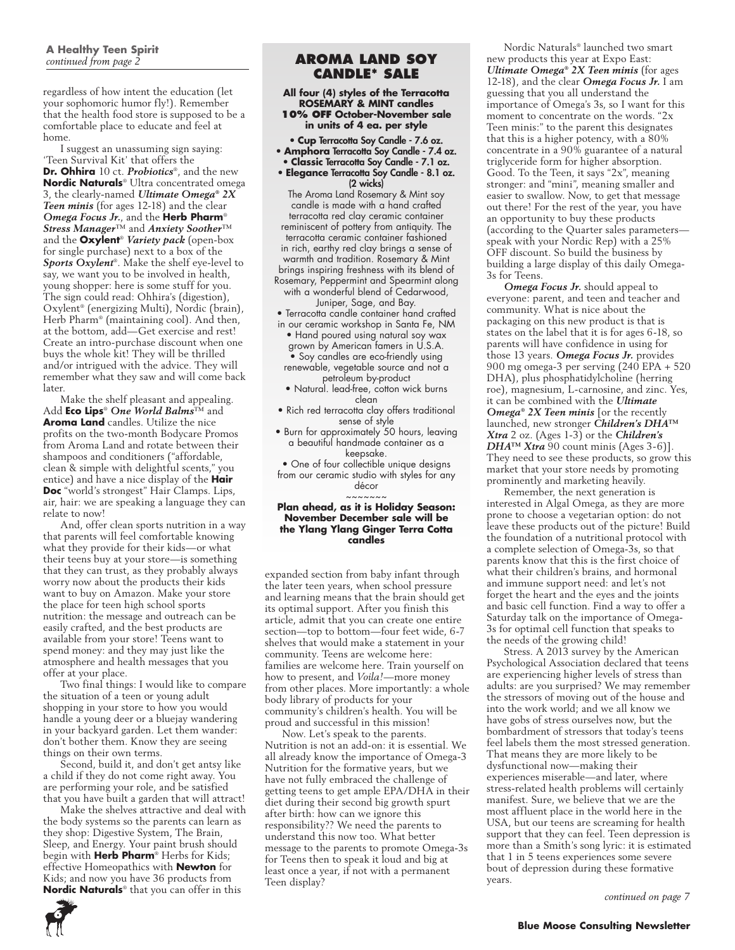regardless of how intent the education (let your sophomoric humor fly!). Remember that the health food store is supposed to be a comfortable place to educate and feel at home.

I suggest an unassuming sign saying: 'Teen Survival Kit' that offers the **Dr. Ohhira** 10 ct. *Probiotics*®, and the new **Nordic Naturals**® Ultra concentrated omega 3, the clearly-named *Ultimate Omega® 2X Teen minis* (for ages 12-18) and the clear *Omega Focus Jr.*, and the **Herb Pharm**® *Stress Manager*™ and *Anxiety Soother*™ and the **Oxylent**® *Variety pack* (open-box for single purchase) next to a box of the *Sports Oxylent*®. Make the shelf eye-level to say, we want you to be involved in health, young shopper: here is some stuff for you. The sign could read: Ohhira's (digestion), Oxylent® (energizing Multi), Nordic (brain), Herb Pharm® (maintaining cool). And then, at the bottom, add—Get exercise and rest! Create an intro-purchase discount when one buys the whole kit! They will be thrilled and/or intrigued with the advice. They will remember what they saw and will come back later.

Make the shelf pleasant and appealing. Add **Eco Lips**® *One World Balms*™ and **Aroma Land** candles. Utilize the nice profits on the two-month Bodycare Promos from Aroma Land and rotate between their shampoos and conditioners ("affordable, clean & simple with delightful scents," you entice) and have a nice display of the **Hair Doc** "world's strongest" Hair Clamps. Lips, air, hair: we are speaking a language they can relate to now!

And, offer clean sports nutrition in a way that parents will feel comfortable knowing what they provide for their kids—or what their teens buy at your store—is something that they can trust, as they probably always worry now about the products their kids want to buy on Amazon. Make your store the place for teen high school sports nutrition: the message and outreach can be easily crafted, and the best products are available from your store! Teens want to spend money: and they may just like the atmosphere and health messages that you offer at your place.

Two final things: I would like to compare the situation of a teen or young adult shopping in your store to how you would handle a young deer or a bluejay wandering in your backyard garden. Let them wander: don't bother them. Know they are seeing things on their own terms.

Second, build it, and don't get antsy like a child if they do not come right away. You are performing your role, and be satisfied that you have built a garden that will attract!

Make the shelves attractive and deal with the body systems so the parents can learn as they shop: Digestive System, The Brain, Sleep, and Energy. Your paint brush should begin with **Herb Pharm**® Herbs for Kids; effective Homeopathics with **Newton** for Kids; and now you have 36 products from **Nordic Naturals**® that you can offer in this

### **AROMA LAND SOY CANDLE\* SALE**

**All four (4) styles of the Terracotta ROSEMARY & MINT candles 10% OFF October-November sale in units of 4 ea. per style**

• **Cup** Terracotta Soy Candle - 7.6 oz. • **Amphora** Terracotta Soy Candle - 7.4 oz.

- **Classic** Terracotta Soy Candle 7.1 oz.
- **Elegance** Terracotta Soy Candle 8.1 oz. (2 wicks)

The Aroma Land Rosemary & Mint soy candle is made with a hand crafted terracotta red clay ceramic container reminiscent of pottery from antiquity. The terracotta ceramic container fashioned in rich, earthy red clay brings a sense of warmth and tradition. Rosemary & Mint brings inspiring freshness with its blend of Rosemary, Peppermint and Spearmint along with a wonderful blend of Cedarwood, Juniper, Sage, and Bay.

• Terracotta candle container hand crafted

- in our ceramic workshop in Santa Fe, NM • Hand poured using natural soy wax grown by American famers in U.S.A. • Soy candles are eco-friendly using renewable, vegetable source and not a petroleum by-product
- Natural. lead-free, cotton wick burns clean
- Rich red terracotta clay offers traditional sense of style
- Burn for approximately 50 hours, leaving a beautiful handmade container as a keepsake.
- One of four collectible unique designs from our ceramic studio with styles for any

décor

#### ~~~~~~~ **Plan ahead, as it is Holiday Season: November December sale will be the Ylang Ylang Ginger Terra Cotta candles**

expanded section from baby infant through the later teen years, when school pressure and learning means that the brain should get its optimal support. After you finish this article, admit that you can create one entire section—top to bottom—four feet wide, 6-7 shelves that would make a statement in your community. Teens are welcome here: families are welcome here. Train yourself on how to present, and *Voila!*—more money from other places. More importantly: a whole body library of products for your community's children's health. You will be proud and successful in this mission!

Now. Let's speak to the parents. Nutrition is not an add-on: it is essential. We all already know the importance of Omega-3 Nutrition for the formative years, but we have not fully embraced the challenge of getting teens to get ample EPA/DHA in their diet during their second big growth spurt after birth: how can we ignore this responsibility?? We need the parents to understand this now too. What better message to the parents to promote Omega-3s for Teens then to speak it loud and big at least once a year, if not with a permanent Teen display?

Nordic Naturals® launched two smart new products this year at Expo East: *Ultimate Omega® 2X Teen minis* (for ages 12-18), and the clear *Omega Focus Jr.* I am guessing that you all understand the importance of Omega's 3s, so I want for this moment to concentrate on the words. "2x Teen minis:" to the parent this designates that this is a higher potency, with a 80% concentrate in a 90% guarantee of a natural triglyceride form for higher absorption. Good. To the Teen, it says "2x", meaning stronger: and "mini", meaning smaller and easier to swallow. Now, to get that message out there! For the rest of the year, you have an opportunity to buy these products (according to the Quarter sales parameters speak with your Nordic Rep) with a 25% OFF discount. So build the business by building a large display of this daily Omega-3s for Teens.

*Omega Focus Jr.* should appeal to everyone: parent, and teen and teacher and community. What is nice about the packaging on this new product is that is states on the label that it is for ages 6-18, so parents will have confidence in using for those 13 years. *Omega Focus Jr.* provides 900 mg omega-3 per serving (240 EPA + 520 DHA), plus phosphatidylcholine (herring roe), magnesium, L-carnosine, and zinc. Yes, it can be combined with the *Ultimate Omega® 2X Teen minis* [or the recently launched, new stronger *Children's DHA™ Xtra* 2 oz. (Ages 1-3) or the *Children's DHA™ Xtra* 90 count minis (Ages 3-6)]. They need to see these products, so grow this market that your store needs by promoting prominently and marketing heavily.

Remember, the next generation is interested in Algal Omega, as they are more prone to choose a vegetarian option: do not leave these products out of the picture! Build the foundation of a nutritional protocol with a complete selection of Omega-3s, so that parents know that this is the first choice of what their children's brains, and hormonal and immune support need: and let's not forget the heart and the eyes and the joints and basic cell function. Find a way to offer a Saturday talk on the importance of Omega-3s for optimal cell function that speaks to the needs of the growing child!

Stress. A 2013 survey by the American Psychological Association declared that teens are experiencing higher levels of stress than adults: are you surprised? We may remember the stressors of moving out of the house and into the work world; and we all know we have gobs of stress ourselves now, but the bombardment of stressors that today's teens feel labels them the most stressed generation. That means they are more likely to be dysfunctional now—making their experiences miserable—and later, where stress-related health problems will certainly manifest. Sure, we believe that we are the most affluent place in the world here in the USA, but our teens are screaming for health support that they can feel. Teen depression is more than a Smith's song lyric: it is estimated that 1 in 5 teens experiences some severe bout of depression during these formative years.

*continued on page 7*

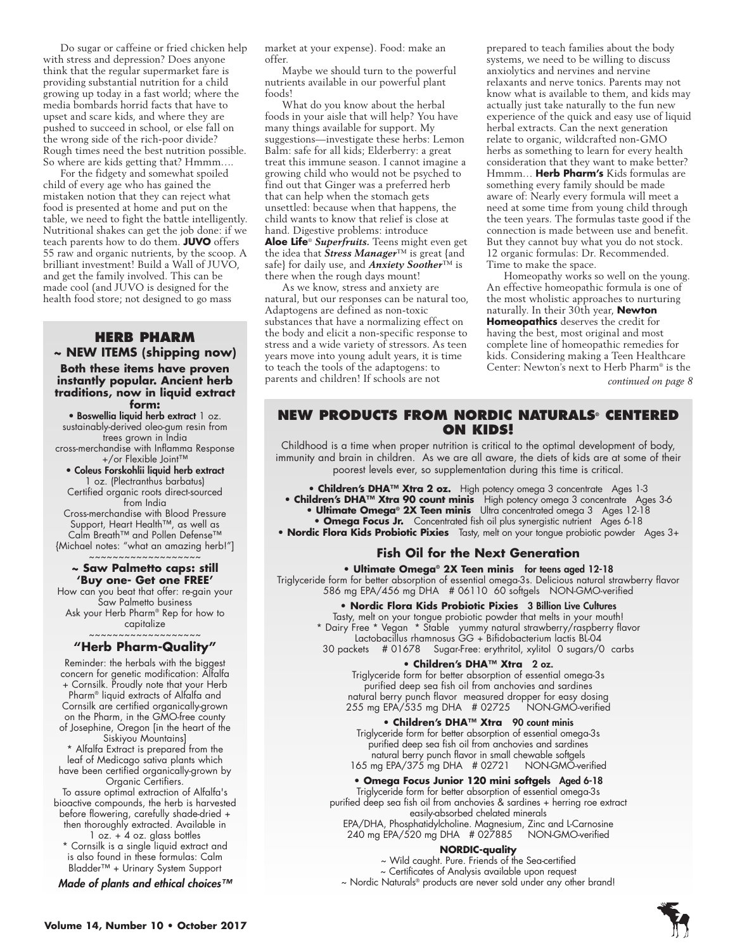Do sugar or caffeine or fried chicken help with stress and depression? Does anyone think that the regular supermarket fare is providing substantial nutrition for a child growing up today in a fast world; where the media bombards horrid facts that have to upset and scare kids, and where they are pushed to succeed in school, or else fall on the wrong side of the rich-poor divide? Rough times need the best nutrition possible. So where are kids getting that? Hmmm….

For the fidgety and somewhat spoiled child of every age who has gained the mistaken notion that they can reject what food is presented at home and put on the table, we need to fight the battle intelligently. Nutritional shakes can get the job done: if we teach parents how to do them. **JUVO** offers 55 raw and organic nutrients, by the scoop. A brilliant investment! Build a Wall of JUVO, and get the family involved. This can be made cool (and JUVO is designed for the health food store; not designed to go mass

#### **HERB PHARM ~ NEW ITEMS (shipping now)**

**Both these items have proven instantly popular. Ancient herb traditions, now in liquid extract form:**

• Boswellia liquid herb extract 1 oz.

sustainably-derived oleo-gum resin from trees grown in India cross-merchandise with Inflamma Response

+/or Flexible Joint™ • Coleus Forskohlii liquid herb extract

1 oz. (Plectranthus barbatus) Certified organic roots direct-sourced from India

Cross-merchandise with Blood Pressure Support, Heart Health™, as well as Calm Breath™ and Pollen Defense™

{Michael notes: "what an amazing herb!"] ~~~~~~~~~~~~~~~~~~~

#### **~ Saw Palmetto caps: still 'Buy one- Get one FREE'**

How can you beat that offer: re-gain your Saw Palmetto business Ask your Herb Pharm® Rep for how to capitalize

#### ~~~~~~~~~~~~~~~~~~~ **"Herb Pharm-Quality"**

Reminder: the herbals with the biggest concern for genetic modification: Alfalfa + Cornsilk. Proudly note that your Herb Pharm® liquid extracts of Alfalfa and Cornsilk are certified organically-grown on the Pharm, in the GMO-free county of Josephine, Oregon [in the heart of the Siskiyou Mountains]

\* Alfalfa Extract is prepared from the leaf of Medicago sativa plants which have been certified organically-grown by Organic Certifiers.

To assure optimal extraction of Alfalfa's bioactive compounds, the herb is harvested before flowering, carefully shade-dried + then thoroughly extracted. Available in  $1$  oz.  $+$  4 oz. glass bottles

\* Cornsilk is a single liquid extract and is also found in these formulas: Calm Bladder™ + Urinary System Support

Made of plants and ethical choices™

market at your expense). Food: make an offer.

Maybe we should turn to the powerful nutrients available in our powerful plant foods!

What do you know about the herbal foods in your aisle that will help? You have many things available for support. My suggestions—investigate these herbs: Lemon Balm: safe for all kids; Elderberry: a great treat this immune season. I cannot imagine a growing child who would not be psyched to find out that Ginger was a preferred herb that can help when the stomach gets unsettled: because when that happens, the child wants to know that relief is close at hand. Digestive problems: introduce **Aloe Life**® *Superfruits.* Teens might even get the idea that *Stress Manager*™ is great {and safe} for daily use, and *Anxiety Soother*™ is there when the rough days mount!

As we know, stress and anxiety are natural, but our responses can be natural too, Adaptogens are defined as non-toxic substances that have a normalizing effect on the body and elicit a non-specific response to stress and a wide variety of stressors. As teen years move into young adult years, it is time to teach the tools of the adaptogens: to parents and children! If schools are not

prepared to teach families about the body systems, we need to be willing to discuss anxiolytics and nervines and nervine relaxants and nerve tonics. Parents may not know what is available to them, and kids may actually just take naturally to the fun new experience of the quick and easy use of liquid herbal extracts. Can the next generation relate to organic, wildcrafted non-GMO herbs as something to learn for every health consideration that they want to make better? Hmmm… **Herb Pharm's** Kids formulas are something every family should be made aware of: Nearly every formula will meet a need at some time from young child through the teen years. The formulas taste good if the connection is made between use and benefit. But they cannot buy what you do not stock. 12 organic formulas: Dr. Recommended. Time to make the space.

Homeopathy works so well on the young. An effective homeopathic formula is one of the most wholistic approaches to nurturing naturally. In their 30th year, **Newton Homeopathics** deserves the credit for having the best, most original and most complete line of homeopathic remedies for kids. Considering making a Teen Healthcare Center: Newton's next to Herb Pharm® is the *continued on page 8*

### **New products from Nordic Naturals® centered on KIDS!**

Childhood is a time when proper nutrition is critical to the optimal development of body, immunity and brain in children. As we are all aware, the diets of kids are at some of their poorest levels ever, so supplementation during this time is critical.

**• Children's DHA™ Xtra 2 oz.** High potency omega 3 concentrate Ages 1-3

**• Children's DHA™ Xtra 90 count minis** High potency omega 3 concentrate Ages 3-6 **• Ultimate Omega® 2X Teen minis** Ultra concentrated omega 3 Ages 12-18

**• Omega Focus Jr.** Concentrated fish oil plus synergistic nutrient Ages 6-18

**• Nordic Flora Kids Probiotic Pixies** Tasty, melt on your tongue probiotic powder Ages 3+

### **Fish Oil for the Next Generation**

**• Ultimate Omega® 2X Teen minis** for teens aged 12-18 Triglyceride form for better absorption of essential omega-3s. Delicious natural strawberry flavor 586 mg EPA/456 mg DHA # 06110 60 softgels NON-GMO-verified

**• Nordic Flora Kids Probiotic Pixies** 3 Billion Live Cultures

Tasty, melt on your tongue probiotic powder that melts in your mouth! \* Dairy Free \* Vegan \* Stable yummy natural strawberry/raspberry flavor Lactobacillus rhamnosus GG + Bifidobacterium lactis BL-04 30 packets # 01678 Sugar-Free: erythritol, xylitol 0 sugars/0 carbs

#### **• Children's DHA™ Xtra** 2 oz.

Triglyceride form for better absorption of essential omega-3s purified deep sea fish oil from anchovies and sardines natural berry punch flavor measured dropper for easy dosing 255 mg EPA/535 mg DHA # 02725 NON-GMO-verified

**• Children's DHA™ Xtra** 90 count minis

Triglyceride form for better absorption of essential omega-3s purified deep sea fish oil from anchovies and sardines natural berry punch flavor in small chewable softgels 165 mg EPA/375 mg DHA # 02721

#### **• Omega Focus Junior 120 mini softgel**s Aged 6-18

Triglyceride form for better absorption of essential omega-3s purified deep sea fish oil from anchovies & sardines + herring roe extract

easily-absorbed chelated minerals EPA/DHA, Phosphatidylcholine. Magnesium, Zinc and L-Carnosine 240 mg EPA/520 mg DHA # 027885

#### **NORDIC-quality**

~ Wild caught. Pure. Friends of the Sea-certified ~ Certificates of Analysis available upon request ~ Nordic Naturals® products are never sold under any other brand!